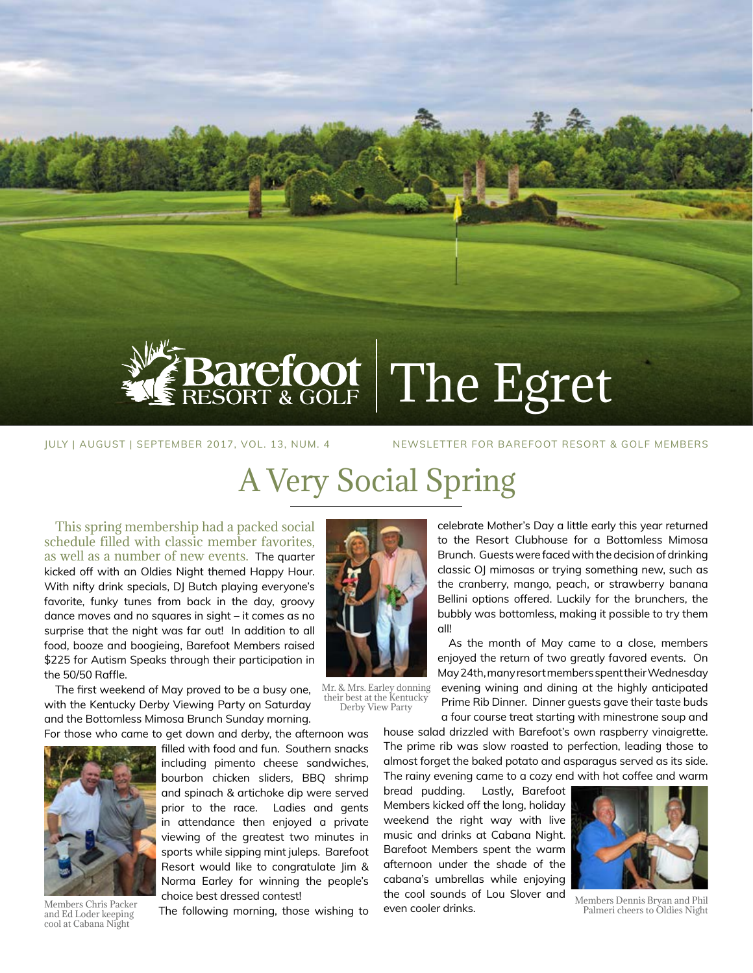

# Barefoot The Egret

JULY | AUGUST | SEPTEMBER 2017, VOL. 13, NUM. 4 NEWSLETTER FOR BAREFOOT RESORT & GOLF MEMBERS

## A Very Social Spring

This spring membership had a packed social schedule filled with classic member favorites, as well as a number of new events. The quarter kicked off with an Oldies Night themed Happy Hour. With nifty drink specials, DJ Butch playing everyone's favorite, funky tunes from back in the day, groovy dance moves and no squares in sight – it comes as no surprise that the night was far out! In addition to all food, booze and boogieing, Barefoot Members raised \$225 for Autism Speaks through their participation in the 50/50 Raffle.

The first weekend of May proved to be a busy one, with the Kentucky Derby Viewing Party on Saturday and the Bottomless Mimosa Brunch Sunday morning.

For those who came to get down and derby, the afternoon was



Members Chris Packer and Ed Loder keeping cool at Cabana Night

filled with food and fun. Southern snacks including pimento cheese sandwiches, bourbon chicken sliders, BBQ shrimp and spinach & artichoke dip were served prior to the race. Ladies and gents in attendance then enjoyed a private viewing of the greatest two minutes in sports while sipping mint juleps. Barefoot Resort would like to congratulate Jim & Norma Earley for winning the people's choice best dressed contest!

The following morning, those wishing to



Mr. & Mrs. Earley donning their best at the Kentucky Derby View Party

celebrate Mother's Day a little early this year returned to the Resort Clubhouse for a Bottomless Mimosa Brunch. Guests were faced with the decision of drinking classic OJ mimosas or trying something new, such as the cranberry, mango, peach, or strawberry banana Bellini options offered. Luckily for the brunchers, the bubbly was bottomless, making it possible to try them all!

As the month of May came to a close, members enjoyed the return of two greatly favored events. On May 24th, many resort members spent their Wednesday evening wining and dining at the highly anticipated Prime Rib Dinner. Dinner guests gave their taste buds a four course treat starting with minestrone soup and

house salad drizzled with Barefoot's own raspberry vinaigrette. The prime rib was slow roasted to perfection, leading those to almost forget the baked potato and asparagus served as its side. The rainy evening came to a cozy end with hot coffee and warm

bread pudding. Lastly, Barefoot Members kicked off the long, holiday weekend the right way with live music and drinks at Cabana Night. Barefoot Members spent the warm afternoon under the shade of the cabana's umbrellas while enjoying the cool sounds of Lou Slover and even cooler drinks.



Members Dennis Bryan and Phil Palmeri cheers to Oldies Night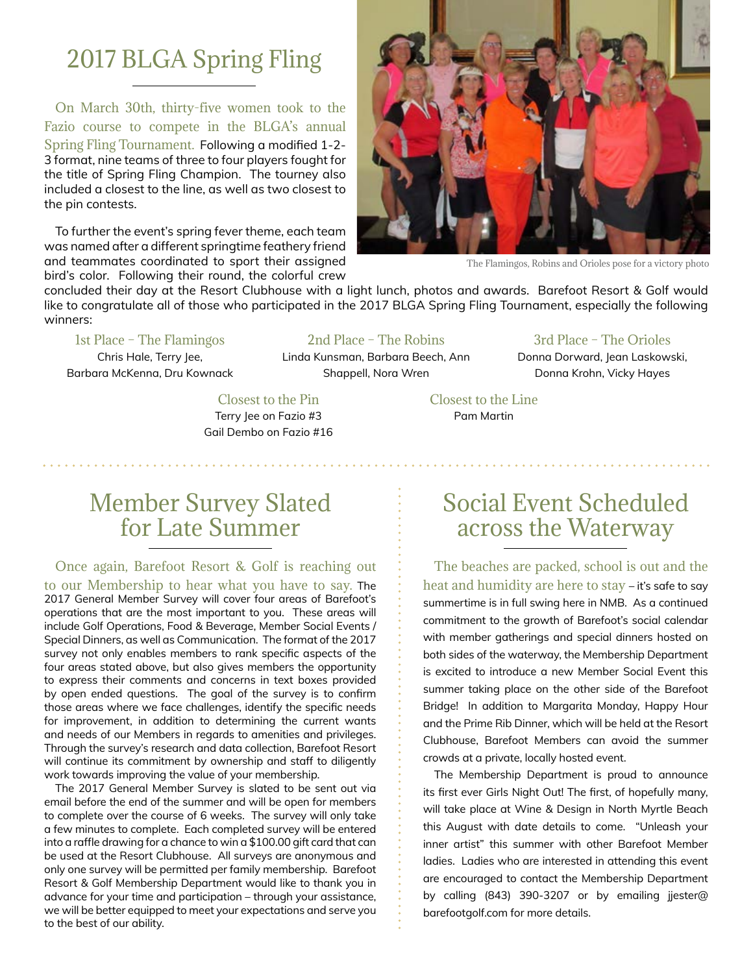## 2017 BLGA Spring Fling

On March 30th, thirty-five women took to the Fazio course to compete in the BLGA's annual Spring Fling Tournament. Following a modified 1-2- 3 format, nine teams of three to four players fought for the title of Spring Fling Champion. The tourney also included a closest to the line, as well as two closest to the pin contests.

To further the event's spring fever theme, each team was named after a different springtime feathery friend and teammates coordinated to sport their assigned bird's color. Following their round, the colorful crew



The Flamingos, Robins and Orioles pose for a victory photo

concluded their day at the Resort Clubhouse with a light lunch, photos and awards. Barefoot Resort & Golf would like to congratulate all of those who participated in the 2017 BLGA Spring Fling Tournament, especially the following winners:

#### 1st Place – The Flamingos

Chris Hale, Terry Jee, Barbara McKenna, Dru Kownack

2nd Place – The Robins Linda Kunsman, Barbara Beech, Ann

Shappell, Nora Wren

#### 3rd Place – The Orioles

Donna Dorward, Jean Laskowski, Donna Krohn, Vicky Hayes

Closest to the Pin Terry Jee on Fazio #3 Gail Dembo on Fazio #16

## Member Survey Slated for Late Summer

Once again, Barefoot Resort & Golf is reaching out to our Membership to hear what you have to say. The 2017 General Member Survey will cover four areas of Barefoot's operations that are the most important to you. These areas will include Golf Operations, Food & Beverage, Member Social Events / Special Dinners, as well as Communication. The format of the 2017 survey not only enables members to rank specific aspects of the four areas stated above, but also gives members the opportunity to express their comments and concerns in text boxes provided by open ended questions. The goal of the survey is to confirm those areas where we face challenges, identify the specific needs for improvement, in addition to determining the current wants and needs of our Members in regards to amenities and privileges. Through the survey's research and data collection, Barefoot Resort will continue its commitment by ownership and staff to diligently

The 2017 General Member Survey is slated to be sent out via email before the end of the summer and will be open for members to complete over the course of 6 weeks. The survey will only take a few minutes to complete. Each completed survey will be entered into a raffle drawing for a chance to win a \$100.00 gift card that can be used at the Resort Clubhouse. All surveys are anonymous and only one survey will be permitted per family membership. Barefoot Resort & Golf Membership Department would like to thank you in advance for your time and participation – through your assistance, we will be better equipped to meet your expectations and serve you to the best of our ability.

work towards improving the value of your membership.

#### Closest to the Line Pam Martin

### Social Event Scheduled across the Waterway

The beaches are packed, school is out and the heat and humidity are here to stay – it's safe to say summertime is in full swing here in NMB. As a continued commitment to the growth of Barefoot's social calendar with member gatherings and special dinners hosted on both sides of the waterway, the Membership Department is excited to introduce a new Member Social Event this summer taking place on the other side of the Barefoot Bridge! In addition to Margarita Monday, Happy Hour and the Prime Rib Dinner, which will be held at the Resort Clubhouse, Barefoot Members can avoid the summer crowds at a private, locally hosted event.

The Membership Department is proud to announce its first ever Girls Night Out! The first, of hopefully many, will take place at Wine & Design in North Myrtle Beach this August with date details to come. "Unleash your inner artist" this summer with other Barefoot Member ladies. Ladies who are interested in attending this event are encouraged to contact the Membership Department by calling (843) 390-3207 or by emailing jjester@ barefootgolf.com for more details.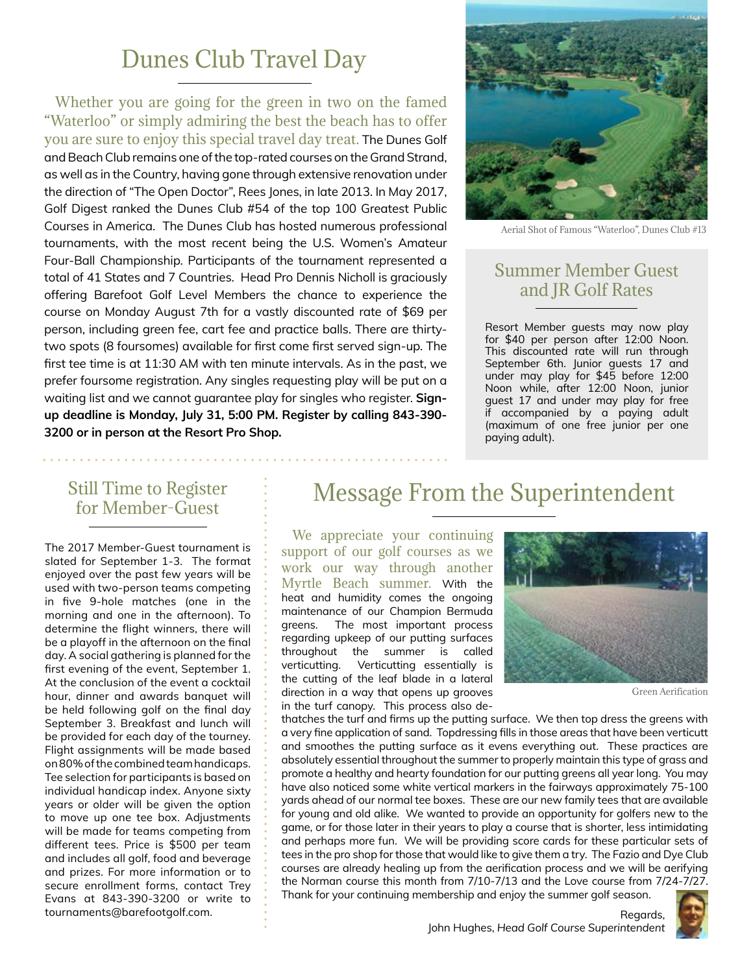## Dunes Club Travel Day

Whether you are going for the green in two on the famed "Waterloo" or simply admiring the best the beach has to offer you are sure to enjoy this special travel day treat. The Dunes Golf and Beach Club remains one of the top-rated courses on the Grand Strand, as well as in the Country, having gone through extensive renovation under the direction of "The Open Doctor", Rees Jones, in late 2013. In May 2017, Golf Digest ranked the Dunes Club #54 of the top 100 Greatest Public Courses in America. The Dunes Club has hosted numerous professional tournaments, with the most recent being the U.S. Women's Amateur Four-Ball Championship. Participants of the tournament represented a total of 41 States and 7 Countries. Head Pro Dennis Nicholl is graciously offering Barefoot Golf Level Members the chance to experience the course on Monday August 7th for a vastly discounted rate of \$69 per person, including green fee, cart fee and practice balls. There are thirtytwo spots (8 foursomes) available for first come first served sign-up. The first tee time is at 11:30 AM with ten minute intervals. As in the past, we prefer foursome registration. Any singles requesting play will be put on a waiting list and we cannot guarantee play for singles who register. **Signup deadline is Monday, July 31, 5:00 PM. Register by calling 843-390- 3200 or in person at the Resort Pro Shop.**



Aerial Shot of Famous "Waterloo", Dunes Club #13

#### Summer Member Guest and JR Golf Rates

Resort Member guests may now play for \$40 per person after 12:00 Noon. This discounted rate will run through September 6th. Junior guests 17 and under may play for \$45 before 12:00 Noon while, after 12:00 Noon, junior guest 17 and under may play for free if accompanied by a paying adult (maximum of one free junior per one paying adult).

#### Still Time to Register for Member-Guest

The 2017 Member-Guest tournament is slated for September 1-3. The format enjoyed over the past few years will be used with two-person teams competing in five 9-hole matches (one in the morning and one in the afternoon). To determine the flight winners, there will be a playoff in the afternoon on the final day. A social gathering is planned for the first evening of the event, September 1. At the conclusion of the event a cocktail hour, dinner and awards banquet will be held following golf on the final day September 3. Breakfast and lunch will be provided for each day of the tourney. Flight assignments will be made based on 80% of the combined team handicaps. Tee selection for participants is based on individual handicap index. Anyone sixty years or older will be given the option to move up one tee box. Adjustments will be made for teams competing from different tees. Price is \$500 per team and includes all golf, food and beverage and prizes. For more information or to secure enrollment forms, contact Trey Evans at 843-390-3200 or write to tournaments@barefootgolf.com.

## Message From the Superintendent

We appreciate your continuing support of our golf courses as we work our way through another Myrtle Beach summer. With the heat and humidity comes the ongoing maintenance of our Champion Bermuda greens. The most important process regarding upkeep of our putting surfaces throughout the summer is called verticutting. Verticutting essentially is the cutting of the leaf blade in a lateral direction in a way that opens up grooves in the turf canopy. This process also de-



Green Aerification

thatches the turf and firms up the putting surface. We then top dress the greens with a very fine application of sand. Topdressing fills in those areas that have been verticutt and smoothes the putting surface as it evens everything out. These practices are absolutely essential throughout the summer to properly maintain this type of grass and promote a healthy and hearty foundation for our putting greens all year long. You may have also noticed some white vertical markers in the fairways approximately 75-100 yards ahead of our normal tee boxes. These are our new family tees that are available for young and old alike. We wanted to provide an opportunity for golfers new to the game, or for those later in their years to play a course that is shorter, less intimidating and perhaps more fun. We will be providing score cards for these particular sets of tees in the pro shop for those that would like to give them a try. The Fazio and Dye Club courses are already healing up from the aerification process and we will be aerifying the Norman course this month from 7/10-7/13 and the Love course from 7/24-7/27. Thank for your continuing membership and enjoy the summer golf season.



Regards,